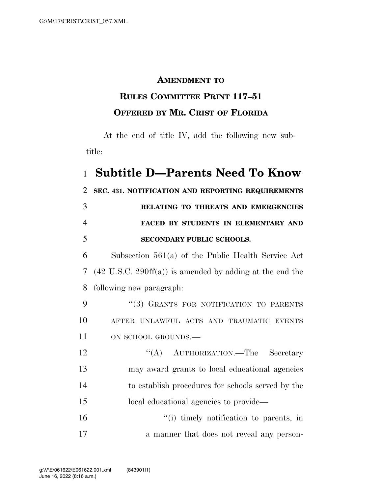## **AMENDMENT TO**

## **RULES COMMITTEE PRINT 117–51 OFFERED BY MR. CRIST OF FLORIDA**

At the end of title IV, add the following new subtitle:

## 1 **Subtitle D—Parents Need To Know**

 **SEC. 431. NOTIFICATION AND REPORTING REQUIREMENTS RELATING TO THREATS AND EMERGENCIES FACED BY STUDENTS IN ELEMENTARY AND SECONDARY PUBLIC SCHOOLS.** 

6 Subsection 561(a) of the Public Health Service Act 7 (42 U.S.C. 290ff(a)) is amended by adding at the end the 8 following new paragraph:

9 "(3) GRANTS FOR NOTIFICATION TO PARENTS 10 AFTER UNLAWFUL ACTS AND TRAUMATIC EVENTS 11 ON SCHOOL GROUNDS.

12 "(A) AUTHORIZATION.—The Secretary may award grants to local educational agencies to establish procedures for schools served by the local educational agencies to provide—

16 ''(i) timely notification to parents, in 17 a manner that does not reveal any person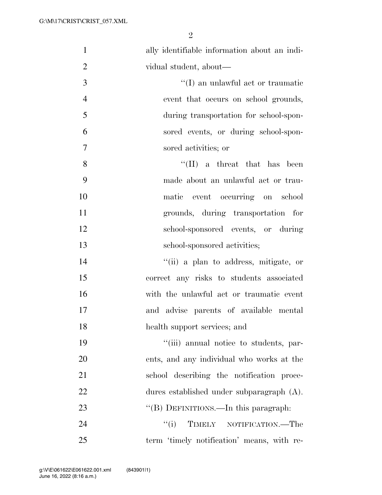| $\mathbf{1}$   | ally identifiable information about an indi- |
|----------------|----------------------------------------------|
| $\overline{2}$ | vidual student, about—                       |
| 3              | $\lq\lq$ (I) an unlawful act or traumatic    |
| $\overline{4}$ | event that occurs on school grounds,         |
| 5              | during transportation for school-spon-       |
| 6              | sored events, or during school-spon-         |
| $\overline{7}$ | sored activities; or                         |
| 8              | $\lq\lq$ (II) a threat that has been         |
| 9              | made about an unlawful act or trau-          |
| 10             | matic event occurring on school              |
| 11             | grounds, during transportation for           |
| 12             | school-sponsored events, or during           |
| 13             | school-sponsored activities;                 |
| 14             | "(ii) a plan to address, mitigate, or        |
| 15             | correct any risks to students associated     |
| 16             | with the unlawful act or traumatic event     |
| 17             | and advise parents of available mental       |
| 18             | health support services; and                 |
| 19             | "(iii) annual notice to students, par-       |
| 20             | ents, and any individual who works at the    |
| 21             | school describing the notification proce-    |
| 22             | dures established under subparagraph (A).    |
| 23             | "(B) DEFINITIONS.—In this paragraph:         |
| 24             | ``(i)<br>TIMELY NOTIFICATION.—The            |
| 25             | term 'timely notification' means, with re-   |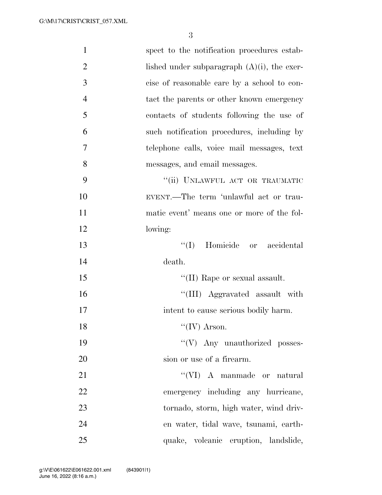| $\mathbf{1}$   | spect to the notification procedures estab-    |
|----------------|------------------------------------------------|
| $\overline{2}$ | lished under subparagraph $(A)(i)$ , the exer- |
| 3              | cise of reasonable care by a school to con-    |
| $\overline{4}$ | tact the parents or other known emergency      |
| 5              | contacts of students following the use of      |
| 6              | such notification procedures, including by     |
| 7              | telephone calls, voice mail messages, text     |
| 8              | messages, and email messages.                  |
| 9              | "(ii) UNLAWFUL ACT OR TRAUMATIC                |
| 10             | EVENT.—The term 'unlawful act or trau-         |
| 11             | matic event' means one or more of the fol-     |
| 12             | lowing:                                        |
| 13             | ``(I)<br>Homicide or accidental                |
| 14             | death.                                         |
| 15             | $\lq\lq$ (II) Rape or sexual assault.          |
| 16             | "(III) Aggravated assault with                 |
| 17             | intent to cause serious bodily harm.           |
| 18             | $\lq\lq (IV)$ Arson.                           |
| 19             | $``(V)$ Any unauthorized posses-               |
| 20             | sion or use of a firearm.                      |
| 21             | $\lq\lq$ (VI) A manmade or natural             |
| 22             | emergency including any hurricane,             |
| 23             | tornado, storm, high water, wind driv-         |
| 24             | en water, tidal wave, tsunami, earth-          |
| 25             | quake, volcanic eruption, landslide,           |